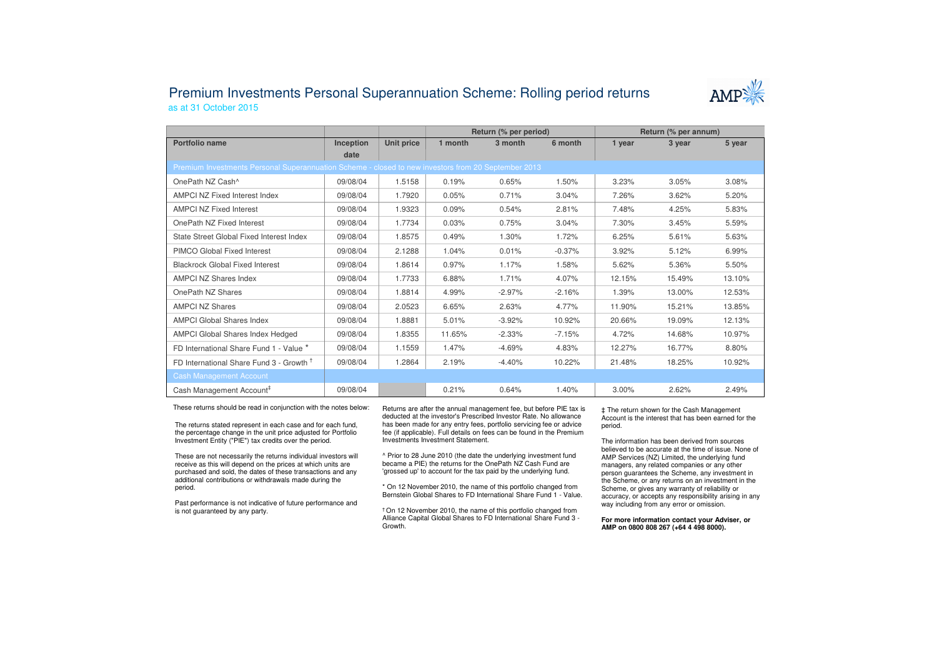## Premium Investments Personal Superannuation Scheme: Rolling period returnsas at 31 October 2015



|                                                                                                     |                  |            | Return (% per period) |          |          | Return (% per annum) |        |        |  |  |
|-----------------------------------------------------------------------------------------------------|------------------|------------|-----------------------|----------|----------|----------------------|--------|--------|--|--|
| Portfolio name                                                                                      | <b>Inception</b> | Unit price | 1 month               | 3 month  | 6 month  | 1 year               | 3 year | 5 year |  |  |
|                                                                                                     | date             |            |                       |          |          |                      |        |        |  |  |
| Premium Investments Personal Superannuation Scheme - closed to new investors from 20 September 2013 |                  |            |                       |          |          |                      |        |        |  |  |
| OnePath NZ Cash^                                                                                    | 09/08/04         | 1.5158     | 0.19%                 | 0.65%    | 1.50%    | 3.23%                | 3.05%  | 3.08%  |  |  |
| AMPCI NZ Fixed Interest Index                                                                       | 09/08/04         | 1.7920     | 0.05%                 | 0.71%    | 3.04%    | 7.26%                | 3.62%  | 5.20%  |  |  |
| <b>AMPCI NZ Fixed Interest</b>                                                                      | 09/08/04         | 1.9323     | 0.09%                 | 0.54%    | 2.81%    | 7.48%                | 4.25%  | 5.83%  |  |  |
| OnePath NZ Fixed Interest                                                                           | 09/08/04         | 1.7734     | 0.03%                 | 0.75%    | 3.04%    | 7.30%                | 3.45%  | 5.59%  |  |  |
| State Street Global Fixed Interest Index                                                            | 09/08/04         | 1.8575     | 0.49%                 | 1.30%    | 1.72%    | 6.25%                | 5.61%  | 5.63%  |  |  |
| PIMCO Global Fixed Interest                                                                         | 09/08/04         | 2.1288     | 1.04%                 | 0.01%    | $-0.37%$ | 3.92%                | 5.12%  | 6.99%  |  |  |
| <b>Blackrock Global Fixed Interest</b>                                                              | 09/08/04         | 1.8614     | 0.97%                 | 1.17%    | 1.58%    | 5.62%                | 5.36%  | 5.50%  |  |  |
| AMPCI NZ Shares Index                                                                               | 09/08/04         | 1.7733     | 6.88%                 | 1.71%    | 4.07%    | 12.15%               | 15.49% | 13.10% |  |  |
| OnePath NZ Shares                                                                                   | 09/08/04         | 1.8814     | 4.99%                 | $-2.97%$ | $-2.16%$ | 1.39%                | 13.00% | 12.53% |  |  |
| <b>AMPCI NZ Shares</b>                                                                              | 09/08/04         | 2.0523     | 6.65%                 | 2.63%    | 4.77%    | 11.90%               | 15.21% | 13.85% |  |  |
| <b>AMPCI Global Shares Index</b>                                                                    | 09/08/04         | 1.8881     | 5.01%                 | $-3.92%$ | 10.92%   | 20.66%               | 19.09% | 12.13% |  |  |
| <b>AMPCI Global Shares Index Hedged</b>                                                             | 09/08/04         | 1.8355     | 11.65%                | $-2.33%$ | $-7.15%$ | 4.72%                | 14.68% | 10.97% |  |  |
| FD International Share Fund 1 - Value *                                                             | 09/08/04         | 1.1559     | 1.47%                 | $-4.69%$ | 4.83%    | 12.27%               | 16.77% | 8.80%  |  |  |
| FD International Share Fund 3 - Growth <sup>†</sup>                                                 | 09/08/04         | 1.2864     | 2.19%                 | $-4.40%$ | 10.22%   | 21.48%               | 18.25% | 10.92% |  |  |
| <b>Cash Management Account</b>                                                                      |                  |            |                       |          |          |                      |        |        |  |  |
| Cash Management Account <sup>#</sup>                                                                | 09/08/04         |            | 0.21%                 | 0.64%    | 1.40%    | 3.00%                | 2.62%  | 2.49%  |  |  |

These returns should be read in conjunction with the notes below:

The returns stated represent in each case and for each fund, the percentage change in the unit price adjusted for Portfolio Investment Entity ("PIE") tax credits over the period.

These are not necessarily the returns individual investors will receive as this will depend on the prices at which units are purchased and sold, the dates of these transactions and any additional contributions or withdrawals made during the period.

Past performance is not indicative of future performance and is not guaranteed by any party.

Returns are after the annual management fee, but before PIE tax is deducted at the investor's Prescribed Investor Rate. No allowance has been made for any entry fees, portfolio servicing fee or advice fee (if applicable). Full details on fees can be found in the Premium Investments Investment Statement.

^ Prior to 28 June 2010 (the date the underlying investment fund became a PIE) the returns for the OnePath NZ Cash Fund are 'grossed up' to account for the tax paid by the underlying fund.

\* On 12 November 2010, the name of this portfolio changed from Bernstein Global Shares to FD International Share Fund 1 - Value.

† On 12 November 2010, the name of this portfolio changed from Alliance Capital Global Shares to FD International Share Fund 3 -Growth.

‡ The return shown for the Cash Management Account is the interest that has been earned for the period.

The information has been derived from sources believed to be accurate at the time of issue. None of AMP Services (NZ) Limited, the underlying fund managers, any related companies or any other person guarantees the Scheme, any investment in the Scheme, or any returns on an investment in the Scheme, or gives any warranty of reliability or accuracy, or accepts any responsibility arising in any way including from any error or omission.

**For more information contact your Adviser, or AMP on 0800 808 267 (+64 4 498 8000).**